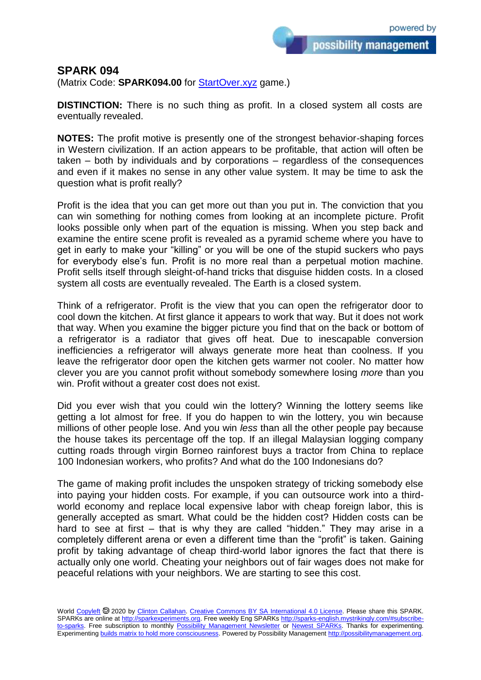possibility management

## **SPARK 094**

(Matrix Code: **SPARK094.00** for **StartOver.xyz** game.)

**DISTINCTION:** There is no such thing as profit. In a closed system all costs are eventually revealed.

**NOTES:** The profit motive is presently one of the strongest behavior-shaping forces in Western civilization. If an action appears to be profitable, that action will often be taken – both by individuals and by corporations – regardless of the consequences and even if it makes no sense in any other value system. It may be time to ask the question what is profit really?

Profit is the idea that you can get more out than you put in. The conviction that you can win something for nothing comes from looking at an incomplete picture. Profit looks possible only when part of the equation is missing. When you step back and examine the entire scene profit is revealed as a pyramid scheme where you have to get in early to make your "killing" or you will be one of the stupid suckers who pays for everybody else's fun. Profit is no more real than a perpetual motion machine. Profit sells itself through sleight-of-hand tricks that disguise hidden costs. In a closed system all costs are eventually revealed. The Earth is a closed system.

Think of a refrigerator. Profit is the view that you can open the refrigerator door to cool down the kitchen. At first glance it appears to work that way. But it does not work that way. When you examine the bigger picture you find that on the back or bottom of a refrigerator is a radiator that gives off heat. Due to inescapable conversion inefficiencies a refrigerator will always generate more heat than coolness. If you leave the refrigerator door open the kitchen gets warmer not cooler. No matter how clever you are you cannot profit without somebody somewhere losing *more* than you win. Profit without a greater cost does not exist.

Did you ever wish that you could win the lottery? Winning the lottery seems like getting a lot almost for free. If you do happen to win the lottery, you win because millions of other people lose. And you win *less* than all the other people pay because the house takes its percentage off the top. If an illegal Malaysian logging company cutting roads through virgin Borneo rainforest buys a tractor from China to replace 100 Indonesian workers, who profits? And what do the 100 Indonesians do?

The game of making profit includes the unspoken strategy of tricking somebody else into paying your hidden costs. For example, if you can outsource work into a thirdworld economy and replace local expensive labor with cheap foreign labor, this is generally accepted as smart. What could be the hidden cost? Hidden costs can be hard to see at first – that is why they are called "hidden." They may arise in a completely different arena or even a different time than the "profit" is taken. Gaining profit by taking advantage of cheap third-world labor ignores the fact that there is actually only one world. Cheating your neighbors out of fair wages does not make for peaceful relations with your neighbors. We are starting to see this cost.

World [Copyleft](https://en.wikipedia.org/wiki/Copyleft) @ 2020 by [Clinton Callahan.](http://clintoncallahan.mystrikingly.com/) [Creative Commons BY SA International 4.0 License.](https://creativecommons.org/licenses/by-sa/4.0/) Please share this SPARK. SPARKs are online at [http://sparkexperiments.org.](http://sparks-english.mystrikingly.com/) Free weekly Eng SPARKs [http://sparks-english.mystrikingly.com/#subscribe](http://sparks-english.mystrikingly.com/#subscribe-to-sparks)[to-sparks.](http://sparks-english.mystrikingly.com/#subscribe-to-sparks) Free subscription to monthly [Possibility Management Newsletter](https://possibilitymanagement.org/news/) or [Newest SPARKs.](https://www.clintoncallahan.org/newsletter-1) Thanks for experimenting. Experimentin[g builds matrix to hold more consciousness.](http://spaceport.mystrikingly.com/) Powered by Possibility Managemen[t http://possibilitymanagement.org.](http://possibilitymanagement.org/)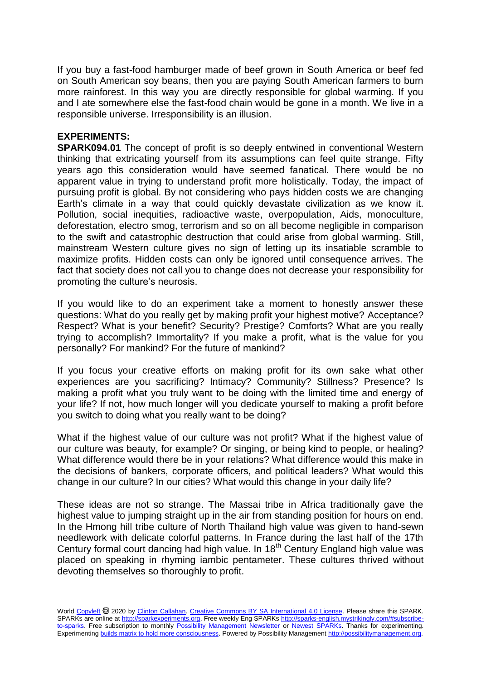If you buy a fast-food hamburger made of beef grown in South America or beef fed on South American soy beans, then you are paying South American farmers to burn more rainforest. In this way you are directly responsible for global warming. If you and I ate somewhere else the fast-food chain would be gone in a month. We live in a responsible universe. Irresponsibility is an illusion.

## **EXPERIMENTS:**

**SPARK094.01** The concept of profit is so deeply entwined in conventional Western thinking that extricating yourself from its assumptions can feel quite strange. Fifty years ago this consideration would have seemed fanatical. There would be no apparent value in trying to understand profit more holistically. Today, the impact of pursuing profit is global. By not considering who pays hidden costs we are changing Earth's climate in a way that could quickly devastate civilization as we know it. Pollution, social inequities, radioactive waste, overpopulation, Aids, monoculture, deforestation, electro smog, terrorism and so on all become negligible in comparison to the swift and catastrophic destruction that could arise from global warming. Still, mainstream Western culture gives no sign of letting up its insatiable scramble to maximize profits. Hidden costs can only be ignored until consequence arrives. The fact that society does not call you to change does not decrease your responsibility for promoting the culture's neurosis.

If you would like to do an experiment take a moment to honestly answer these questions: What do you really get by making profit your highest motive? Acceptance? Respect? What is your benefit? Security? Prestige? Comforts? What are you really trying to accomplish? Immortality? If you make a profit, what is the value for you personally? For mankind? For the future of mankind?

If you focus your creative efforts on making profit for its own sake what other experiences are you sacrificing? Intimacy? Community? Stillness? Presence? Is making a profit what you truly want to be doing with the limited time and energy of your life? If not, how much longer will you dedicate yourself to making a profit before you switch to doing what you really want to be doing?

What if the highest value of our culture was not profit? What if the highest value of our culture was beauty, for example? Or singing, or being kind to people, or healing? What difference would there be in your relations? What difference would this make in the decisions of bankers, corporate officers, and political leaders? What would this change in our culture? In our cities? What would this change in your daily life?

These ideas are not so strange. The Massai tribe in Africa traditionally gave the highest value to jumping straight up in the air from standing position for hours on end. In the Hmong hill tribe culture of North Thailand high value was given to hand-sewn needlework with delicate colorful patterns. In France during the last half of the 17th Century formal court dancing had high value. In 18<sup>th</sup> Century England high value was placed on speaking in rhyming iambic pentameter. These cultures thrived without devoting themselves so thoroughly to profit.

World [Copyleft](https://en.wikipedia.org/wiki/Copyleft) @ 2020 by [Clinton Callahan.](http://clintoncallahan.mystrikingly.com/) [Creative Commons BY SA International 4.0 License.](https://creativecommons.org/licenses/by-sa/4.0/) Please share this SPARK. SPARKs are online at [http://sparkexperiments.org.](http://sparks-english.mystrikingly.com/) Free weekly Eng SPARKs [http://sparks-english.mystrikingly.com/#subscribe](http://sparks-english.mystrikingly.com/#subscribe-to-sparks)[to-sparks.](http://sparks-english.mystrikingly.com/#subscribe-to-sparks) Free subscription to monthly [Possibility Management Newsletter](https://possibilitymanagement.org/news/) or [Newest SPARKs.](https://www.clintoncallahan.org/newsletter-1) Thanks for experimenting. Experimentin[g builds matrix to hold more consciousness.](http://spaceport.mystrikingly.com/) Powered by Possibility Managemen[t http://possibilitymanagement.org.](http://possibilitymanagement.org/)